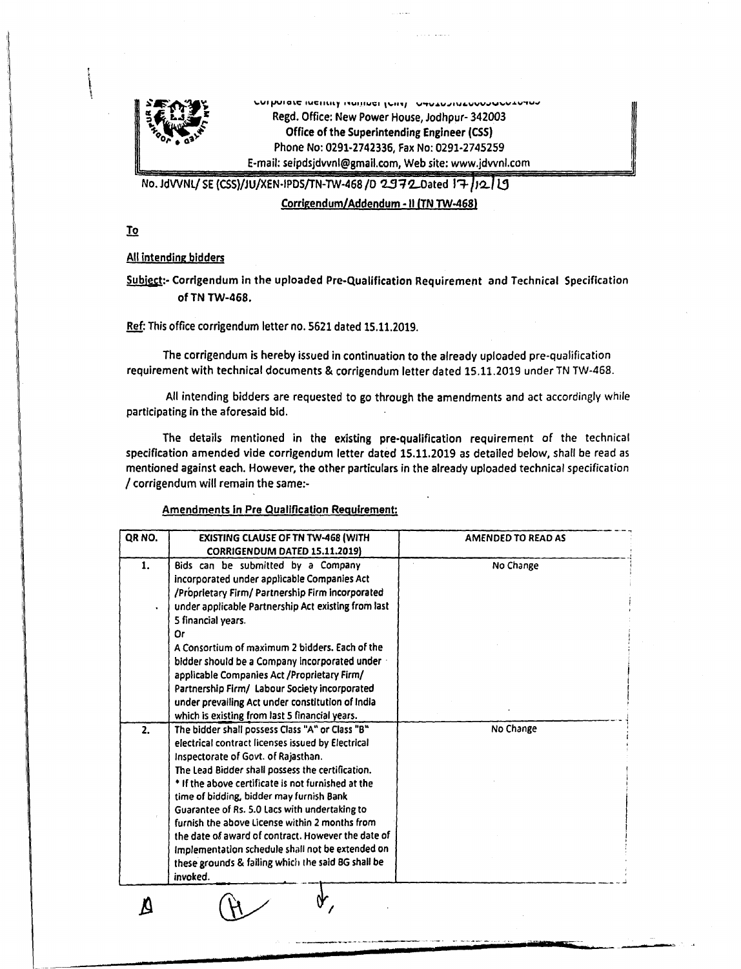

**\,.V. fJUI au: IUCIllUJ '."'JI..,CI " •.i••,** V~V.\lJt\J"V"\I"'''''",",,\oI''''''''''''''''' Regd. Office: New Power House, Jodhpur- 342003 Office of the Superintending Engineer (CS5) Phone No: 0291-2742336, Fax No: 0291-2745259 E-mail: [seipdsjdvvnl@smail.com,](mailto:seipdsjdvvnl@smail.com,) Web site: [www.jdvvnl.com](http://www.jdvvnl.com)

No. JdVVNL/ SE (CSS)/JU/XEN-IPDS/TN-TW-468 /D 2972\_Dated 17 /12 <sup>1</sup>

Corrigendum/Addendum - II (TN TW-468)

<u>To</u>

All intending bidders

Subiect:- Corrigendum in the uploaded Pre-Qualification Requirement and Technical Specification of TN TW-468.

Ref: This office corrigendum letter no. 5621 dated 15.11.2019.

The corrigendum is hereby issued in continuation to the already uploaded pre-qualification requirement with technical documents & corrigendum letter dated 15.11.2019 under TN TW-468.

All intending bidders are requested to go through the amendments and act accordingly while participating in the aforesaid bid.

The details mentioned in the existing pre-qualification requirement of the technical specification amended vide corrigendum letter dated 15.11.2019 as detailed below, shall be read as mentioned against each. However, the other particulars in the already uploaded technical specification *I* corrigendum will remain the same:-

## Amendments in Pre Qualification Requirement:

**• •**

| OR NO. | <b>EXISTING CLAUSE OF TN TW-468 (WITH</b>           | <b>AMENDED TO READ AS</b> |
|--------|-----------------------------------------------------|---------------------------|
|        | CORRIGENDUM DATED 15.11.2019)                       |                           |
| 1.     | Bids can be submitted by a Company                  | No Change                 |
|        | incorporated under applicable Companies Act         |                           |
|        | /Proprietary Firm/ Partnership Firm incorporated    |                           |
|        | under applicable Partnership Act existing from last |                           |
|        | 5 financial years.                                  |                           |
|        | Or                                                  |                           |
|        | A Consortium of maximum 2 bidders. Each of the      |                           |
|        | bidder should be a Company incorporated under a     |                           |
|        | applicable Companies Act / Proprietary Firm/        |                           |
|        | Partnership Firm/ Labour Society incorporated       |                           |
|        | under prevailing Act under constitution of India    |                           |
|        | which is existing from last 5 financial years.      |                           |
| 2.     | The bidder shall possess Class "A" or Class "B"     | No Change                 |
|        | electrical contract licenses issued by Electrical   |                           |
|        | Inspectorate of Govt. of Rajasthan.                 |                           |
|        | The Lead Bidder shall possess the certification.    |                           |
|        | * If the above certificate is not furnished at the  |                           |
|        | time of bidding, bidder may furnish Bank            |                           |
|        | Guarantee of Rs. 5.0 Lacs with undertaking to       |                           |
|        | furnish the above License within 2 months from      |                           |
|        | the date of award of contract. However the date of  |                           |
|        | Implementation schedule shall not be extended on    |                           |
|        | these grounds & failing which the said BG shall be  |                           |
|        | invoked.                                            |                           |

*""mm~"*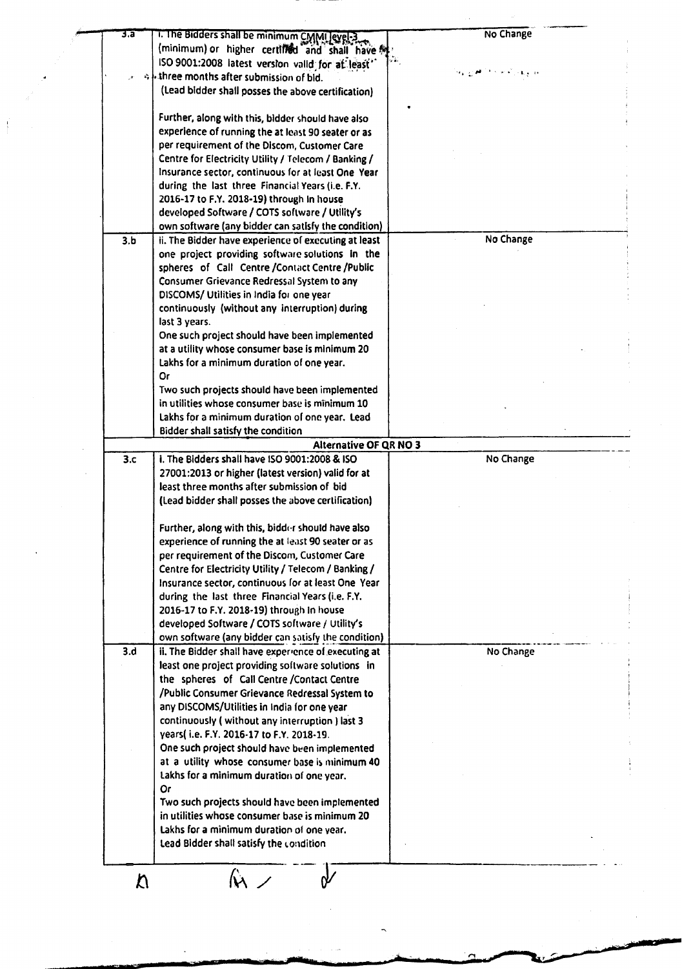| 3.a |                                                            |                              |
|-----|------------------------------------------------------------|------------------------------|
|     | 1. The Bidders shall be minimum CMMI evel-3                | No Change                    |
|     | (minimum) or higher certified and shall have $\frac{m}{2}$ |                              |
|     | ISO 9001:2008 latest version valid for at least"           |                              |
|     | ob three months after submission of bid.                   | جو ويهين آخام کا الهوري لاه؛ |
|     |                                                            |                              |
|     | (Lead bidder shall posses the above certification)         |                              |
|     |                                                            |                              |
|     | Further, along with this, bidder should have also          |                              |
|     | experience of running the at least 90 seater or as         |                              |
|     | per requirement of the Discom, Customer Care               |                              |
|     | Centre for Electricity Utility / Telecom / Banking /       |                              |
|     |                                                            |                              |
|     | Insurance sector, continuous for at least One Year         |                              |
|     | during the last three Financial Years (i.e. F.Y.           |                              |
|     | 2016-17 to F.Y. 2018-19) through in house                  |                              |
|     | developed Software / COTS software / Utility's             |                              |
|     | own software (any bidder can satisfy the condition)        |                              |
| 3.b | ii. The Bidder have experience of executing at least       | No Change                    |
|     | one project providing software solutions in the            |                              |
|     |                                                            |                              |
|     | spheres of Call Centre /Contact Centre /Public             |                              |
|     | Consumer Grievance Redressal System to any                 |                              |
|     | DISCOMS/ Utilities in India for one year                   |                              |
|     | continuously (without any interruption) during             |                              |
|     | last 3 years.                                              |                              |
|     | One such project should have been implemented              |                              |
|     | at a utility whose consumer base is minimum 20             |                              |
|     |                                                            |                              |
|     | Lakhs for a minimum duration of one year.                  |                              |
|     | 0r                                                         |                              |
|     | Two such projects should have been implemented             |                              |
|     | in utilities whose consumer base is minimum 10             |                              |
|     | Lakhs for a minimum duration of one year. Lead             |                              |
|     | Bidder shall satisfy the condition                         |                              |
|     | <b>Alternative OF QR NO 3</b>                              |                              |
|     |                                                            |                              |
| 3.c | i. The Bidders shall have ISO 9001:2008 & ISO              | No Change                    |
|     | 27001:2013 or higher (latest version) valid for at         |                              |
|     | least three months after submission of bid                 |                              |
|     | (Lead bidder shall posses the above certification)         |                              |
|     |                                                            |                              |
|     | Further, along with this, bidder should have also          |                              |
|     | experience of running the at least 90 seater or as         |                              |
|     |                                                            |                              |
|     |                                                            |                              |
|     | per requirement of the Discom, Customer Care               |                              |
|     | Centre for Electricity Utility / Telecom / Banking /       |                              |
|     | Insurance sector, continuous for at least One Year         |                              |
|     | during the last three Financial Years (i.e. F.Y.           |                              |
|     | 2016-17 to F.Y. 2018-19) through In house                  |                              |
|     |                                                            |                              |
|     | developed Software / COTS software / Utility's             |                              |
|     | own software (any bidder can satisfy the condition)        |                              |
| 3.d | ii. The Bidder shall have experience of executing at       | No Change                    |
|     | least one project providing software solutions in          |                              |
|     | the spheres of Call Centre / Contact Centre                |                              |
|     | /Public Consumer Grievance Redressal System to             |                              |
|     |                                                            |                              |
|     | any DISCOMS/Utilities in India for one year                |                              |
|     | continuously (without any interruption) last 3             |                              |
|     | years(i.e. F.Y. 2016-17 to F.Y. 2018-19.                   |                              |
|     | One such project should have been implemented              |                              |
|     | at a utility whose consumer base is minimum 40             |                              |
|     | Lakhs for a minimum duration of one year.                  |                              |
|     | Or                                                         |                              |
|     |                                                            |                              |
|     | Two such projects should have been implemented             |                              |
|     | in utilities whose consumer base is minimum 20             |                              |
|     | Lakhs for a minimum duration of one year.                  |                              |
|     | Lead Bidder shall satisfy the condition                    |                              |